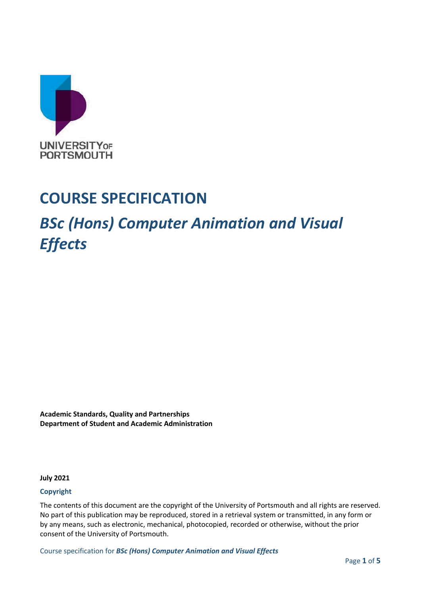

## **COURSE SPECIFICATION**

# *BSc (Hons) Computer Animation and Visual Effects*

**Academic Standards, Quality and Partnerships Department of Student and Academic Administration**

**July 2021**

#### **Copyright**

The contents of this document are the copyright of the University of Portsmouth and all rights are reserved. No part of this publication may be reproduced, stored in a retrieval system or transmitted, in any form or by any means, such as electronic, mechanical, photocopied, recorded or otherwise, without the prior consent of the University of Portsmouth.

Course specification for *BSc (Hons) Computer Animation and Visual Effects*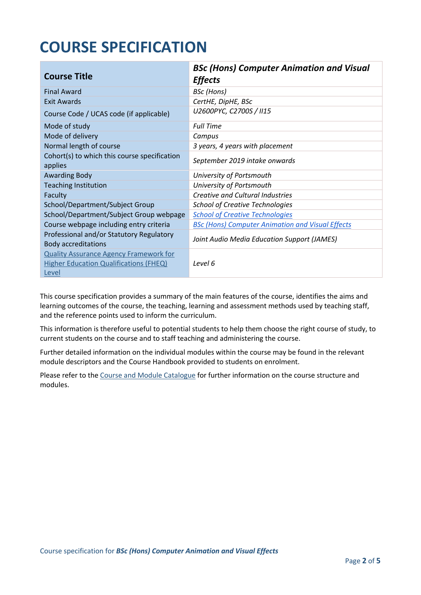## **COURSE SPECIFICATION**

| <b>Course Title</b>                                                    | <b>BSc (Hons) Computer Animation and Visual</b><br><b>Effects</b> |
|------------------------------------------------------------------------|-------------------------------------------------------------------|
| <b>Final Award</b>                                                     | <b>BSc</b> (Hons)                                                 |
| <b>Exit Awards</b>                                                     | CertHE, DipHE, BSc                                                |
| Course Code / UCAS code (if applicable)                                | U2600PYC, C2700S / II15                                           |
| Mode of study                                                          | <b>Full Time</b>                                                  |
| Mode of delivery                                                       | Campus                                                            |
| Normal length of course                                                | 3 years, 4 years with placement                                   |
| Cohort(s) to which this course specification<br>applies                | September 2019 intake onwards                                     |
| <b>Awarding Body</b>                                                   | University of Portsmouth                                          |
| <b>Teaching Institution</b>                                            | University of Portsmouth                                          |
| Faculty                                                                | <b>Creative and Cultural Industries</b>                           |
| School/Department/Subject Group                                        | <b>School of Creative Technologies</b>                            |
| School/Department/Subject Group webpage                                | <b>School of Creative Technologies</b>                            |
| Course webpage including entry criteria                                | <b>BSc (Hons) Computer Animation and Visual Effects</b>           |
| Professional and/or Statutory Regulatory<br><b>Body accreditations</b> | Joint Audio Media Education Support (JAMES)                       |
| <b>Quality Assurance Agency Framework for</b>                          |                                                                   |
| <b>Higher Education Qualifications (FHEQ)</b>                          | Level 6                                                           |
| Level                                                                  |                                                                   |

This course specification provides a summary of the main features of the course, identifies the aims and learning outcomes of the course, the teaching, learning and assessment methods used by teaching staff, and the reference points used to inform the curriculum.

This information is therefore useful to potential students to help them choose the right course of study, to current students on the course and to staff teaching and administering the course.

Further detailed information on the individual modules within the course may be found in the relevant module descriptors and the Course Handbook provided to students on enrolment.

Please refer to the Course [and Module Catalogue](https://course-module-catalog.port.ac.uk/#/welcome) for further information on the course structure and modules.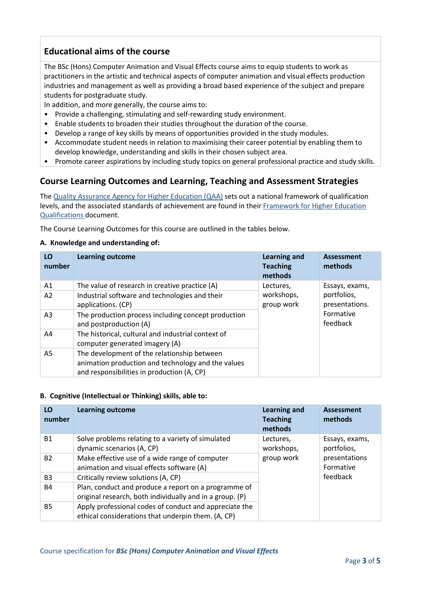## **Educational aims of the course**

The BSc (Hons) Computer Animation and Visual Effects course aims to equip students to work as practitioners in the artistic and technical aspects of computer animation and visual effects production industries and management as well as providing a broad based experience of the subject and prepare students for postgraduate study.

In addition, and more generally, the course aims to:

- Provide a challenging, stimulating and self-rewarding study environment.
- Enable students to broaden their studies throughout the duration of the course.
- Develop a range of key skills by means of opportunities provided in the study modules.
- Accommodate student needs in relation to maximising their career potential by enabling them to develop knowledge, understanding and skills in their chosen subject area.
- Promote career aspirations by including study topics on general professional practice and study skills.

## **Course Learning Outcomes and Learning, Teaching and Assessment Strategies**

The [Quality Assurance Agency for Higher Education \(QAA\)](http://www.qaa.ac.uk/en) sets out a national framework of qualification levels, and the associated standards of achievement are found in their [Framework for Higher Education](https://www.qaa.ac.uk/quality-code/qualifications-frameworks)  [Qualifications](https://www.qaa.ac.uk/quality-code/qualifications-frameworks) document.

The Course Learning Outcomes for this course are outlined in the tables below.

#### **A. Knowledge and understanding of:**

| LO<br>number   | <b>Learning outcome</b>                                                                                                                         | <b>Learning and</b><br><b>Teaching</b><br>methods | <b>Assessment</b><br>methods  |
|----------------|-------------------------------------------------------------------------------------------------------------------------------------------------|---------------------------------------------------|-------------------------------|
| A1             | The value of research in creative practice (A)                                                                                                  | Lectures,                                         | Essays, exams,                |
| A <sub>2</sub> | Industrial software and technologies and their<br>applications. (CP)                                                                            | workshops,<br>group work                          | portfolios,<br>presentations. |
| A <sub>3</sub> | The production process including concept production<br>and postproduction (A)                                                                   |                                                   | Formative<br>feedback         |
| A4             | The historical, cultural and industrial context of<br>computer generated imagery (A)                                                            |                                                   |                               |
| A5             | The development of the relationship between<br>animation production and technology and the values<br>and responsibilities in production (A, CP) |                                                   |                               |

#### **B. Cognitive (Intellectual or Thinking) skills, able to:**

| LO<br>number   | <b>Learning outcome</b>                                                                                          | Learning and<br><b>Teaching</b><br>methods | <b>Assessment</b><br>methods  |
|----------------|------------------------------------------------------------------------------------------------------------------|--------------------------------------------|-------------------------------|
| <b>B1</b>      | Solve problems relating to a variety of simulated<br>dynamic scenarios (A, CP)                                   | Lectures,<br>workshops,                    | Essays, exams,<br>portfolios, |
| <b>B2</b>      | Make effective use of a wide range of computer<br>animation and visual effects software (A)                      | group work                                 | presentations<br>Formative    |
| B <sub>3</sub> | Critically review solutions (A, CP)                                                                              |                                            | feedback                      |
| <b>B4</b>      | Plan, conduct and produce a report on a programme of<br>original research, both individually and in a group. (P) |                                            |                               |
| <b>B5</b>      | Apply professional codes of conduct and appreciate the<br>ethical considerations that underpin them. (A, CP)     |                                            |                               |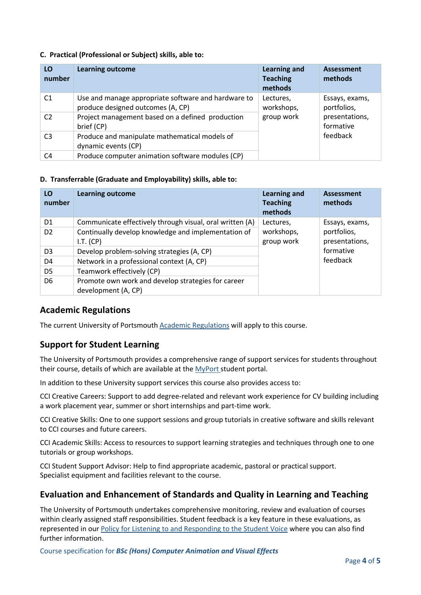#### **C. Practical (Professional or Subject) skills, able to:**

| LO<br>number   | <b>Learning outcome</b>                                                                  | <b>Learning and</b><br><b>Teaching</b><br>methods | <b>Assessment</b><br>methods  |
|----------------|------------------------------------------------------------------------------------------|---------------------------------------------------|-------------------------------|
| C <sub>1</sub> | Use and manage appropriate software and hardware to<br>produce designed outcomes (A, CP) | Lectures,<br>workshops,                           | Essays, exams,<br>portfolios, |
| C <sub>2</sub> | Project management based on a defined production<br>brief (CP)                           | group work                                        | presentations,<br>formative   |
| C <sub>3</sub> | Produce and manipulate mathematical models of<br>dynamic events (CP)                     |                                                   | feedback                      |
| C4             | Produce computer animation software modules (CP)                                         |                                                   |                               |

#### **D. Transferrable (Graduate and Employability) skills, able to:**

| LO<br>number   | <b>Learning outcome</b>                                                   | <b>Learning and</b><br><b>Teaching</b><br>methods | <b>Assessment</b><br>methods  |
|----------------|---------------------------------------------------------------------------|---------------------------------------------------|-------------------------------|
| D <sub>1</sub> | Communicate effectively through visual, oral written (A)                  | Lectures,                                         | Essays, exams,                |
| D <sub>2</sub> | Continually develop knowledge and implementation of<br>I.T. (CP)          | workshops,<br>group work                          | portfolios,<br>presentations, |
| D <sub>3</sub> | Develop problem-solving strategies (A, CP)                                |                                                   | formative                     |
| D <sub>4</sub> | Network in a professional context (A, CP)                                 |                                                   | feedback                      |
| D <sub>5</sub> | Teamwork effectively (CP)                                                 |                                                   |                               |
| D <sub>6</sub> | Promote own work and develop strategies for career<br>development (A, CP) |                                                   |                               |

#### **Academic Regulations**

The current University of Portsmouth [Academic Regulations](https://staff.port.ac.uk/departments/services/academicregistry/qmd/assessmentandregulations/) will apply to this course.

## **Support for Student Learning**

The University of Portsmouth provides a comprehensive range of support services for students throughout their course, details of which are available at the [MyPort](http://myport.ac.uk/) student portal.

In addition to these University support services this course also provides access to:

CCI Creative Careers: Support to add degree-related and relevant work experience for CV building including a work placement year, summer or short internships and part-time work.

CCI Creative Skills: One to one support sessions and group tutorials in creative software and skills relevant to CCI courses and future careers.

CCI Academic Skills: Access to resources to support learning strategies and techniques through one to one tutorials or group workshops.

CCI Student Support Advisor: Help to find appropriate academic, pastoral or practical support. Specialist equipment and facilities relevant to the course.

## **Evaluation and Enhancement of Standards and Quality in Learning and Teaching**

The University of Portsmouth undertakes comprehensive monitoring, review and evaluation of courses within clearly assigned staff responsibilities. Student feedback is a key feature in these evaluations, as represented in our [Policy for Listening to and Responding to the Student Voice](http://policies.docstore.port.ac.uk/policy-069.pdf) where you can also find further information.

Course specification for *BSc (Hons) Computer Animation and Visual Effects*